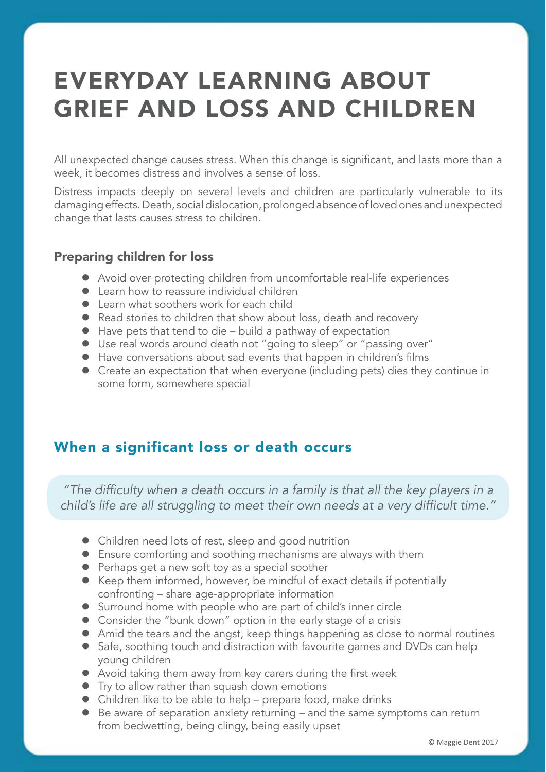# EVERYDAY LEARNING ABOUT GRIEF AND LOSS AND CHILDREN

All unexpected change causes stress. When this change is significant, and lasts more than a week, it becomes distress and involves a sense of loss.

Distress impacts deeply on several levels and children are particularly vulnerable to its damaging effects. Death, social dislocation, prolonged absence of loved ones and unexpected change that lasts causes stress to children.

### Preparing children for loss

- Avoid over protecting children from uncomfortable real-life experiences
- $\bullet$  Learn how to reassure individual children
- $\bullet$  Learn what soothers work for each child
- Read stories to children that show about loss, death and recovery
- $\bullet$  Have pets that tend to die build a pathway of expectation
- $\bullet$  Use real words around death not "going to sleep" or "passing over"
- $\bullet$  Have conversations about sad events that happen in children's films
- Create an expectation that when everyone (including pets) dies they continue in some form, somewhere special

# When a significant loss or death occurs

"The difficulty when a death occurs in a family is that all the key players in a child's life are all struggling to meet their own needs at a very difficult time."

- Children need lots of rest, sleep and good nutrition
- Ensure comforting and soothing mechanisms are always with them
- $\bullet$  Perhaps get a new soft toy as a special soother
- Keep them informed, however, be mindful of exact details if potentially confronting – share age-appropriate information
- Surround home with people who are part of child's inner circle
- Consider the "bunk down" option in the early stage of a crisis
- Amid the tears and the angst, keep things happening as close to normal routines
- Safe, soothing touch and distraction with favourite games and DVDs can help young children
- Avoid taking them away from key carers during the first week
- $\bullet$  Try to allow rather than squash down emotions
- Children like to be able to help prepare food, make drinks
- $\bullet$  Be aware of separation anxiety returning and the same symptoms can return from bedwetting, being clingy, being easily upset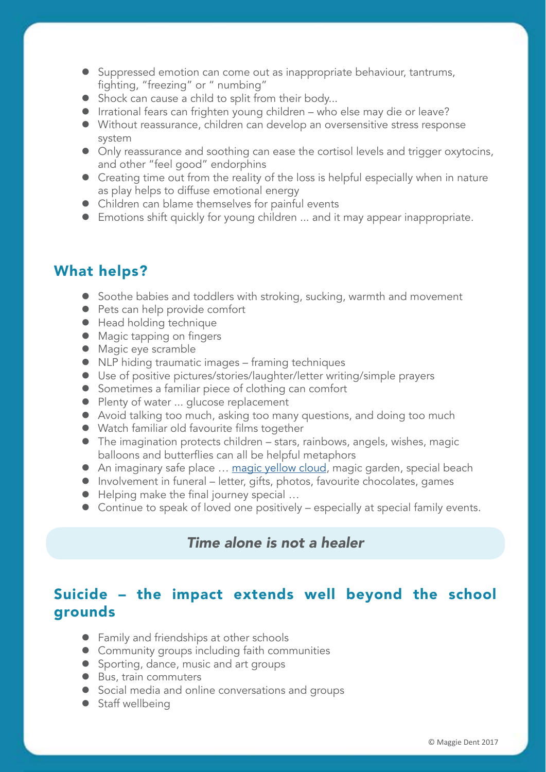- Suppressed emotion can come out as inappropriate behaviour, tantrums, fighting, "freezing" or " numbing"
- $\bullet$  Shock can cause a child to split from their body...
- **•** Irrational fears can frighten young children who else may die or leave?
- Without reassurance, children can develop an oversensitive stress response system
- Only reassurance and soothing can ease the cortisol levels and trigger oxytocins, and other "feel good" endorphins
- $\bullet$  Creating time out from the reality of the loss is helpful especially when in nature as play helps to diffuse emotional energy
- Children can blame themselves for painful events
- **•** Emotions shift quickly for young children ... and it may appear inappropriate.

## What helps?

- **•** Soothe babies and toddlers with stroking, sucking, warmth and movement
- Pets can help provide comfort
- Head holding technique
- Magic tapping on fingers
- Magic eye scramble
- NLP hiding traumatic images framing techniques
- Use of positive pictures/stories/laughter/letter writing/simple prayers
- Sometimes a familiar piece of clothing can comfort
- Plenty of water ... glucose replacement
- Avoid talking too much, asking too many questions, and doing too much
- Watch familiar old favourite films together
- $\bullet$  The imagination protects children stars, rainbows, angels, wishes, magic balloons and butterflies can all be helpful metaphors
- An imaginary safe place ... [magic yellow cloud,](https://www.maggiedent.com/shop/audio/magic-yellow-cloud-audio-download-grief-loss/) magic garden, special beach
- Involvement in funeral letter, gifts, photos, favourite chocolates, games
- $\bullet$  Helping make the final journey special ...
- Continue to speak of loved one positively especially at special family events.

## *Time alone is not a healer*

# Suicide – the impact extends well beyond the school grounds

- Family and friendships at other schools
- **•** Community groups including faith communities
- **•** Sporting, dance, music and art groups
- Bus, train commuters
- Social media and online conversations and groups
- $\bullet$  Staff wellbeing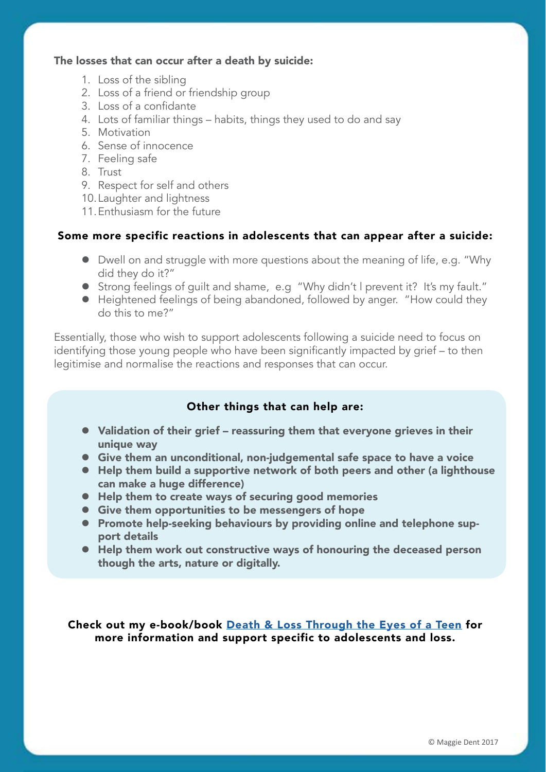#### The losses that can occur after a death by suicide:

- 1. Loss of the sibling
- 2. Loss of a friend or friendship group
- 3. Loss of a confidante
- 4. Lots of familiar things habits, things they used to do and say
- 5. Motivation
- 6. Sense of innocence
- 7. Feeling safe
- 8. Trust
- 9. Respect for self and others
- 10. Laughter and lightness
- 11.Enthusiasm for the future

#### Some more specific reactions in adolescents that can appear after a suicide:

- Dwell on and struggle with more questions about the meaning of life, e.g. "Why did they do it?"
- Strong feelings of quilt and shame, e.g "Why didn't l prevent it? It's my fault."
- Heightened feelings of being abandoned, followed by anger. "How could they do this to me?"

Essentially, those who wish to support adolescents following a suicide need to focus on identifying those young people who have been significantly impacted by grief – to then legitimise and normalise the reactions and responses that can occur.

#### Other things that can help are:

- Validation of their grief reassuring them that everyone grieves in their unique way
- **•** Give them an unconditional, non-judgemental safe space to have a voice
- Help them build a supportive network of both peers and other (a lighthouse can make a huge difference)
- $\bullet$  Help them to create ways of securing good memories
- **•** Give them opportunities to be messengers of hope
- Promote help-seeking behaviours by providing online and telephone support details
- Help them work out constructive ways of honouring the deceased person though the arts, nature or digitally.

Check out my e-book/book [Death & Loss Through the Eyes of a Teen](https://www.maggiedent.com/shop/books-ebooks/death-and-loss-through-eyes-teen-ebook/) for more information and support specific to adolescents and loss.